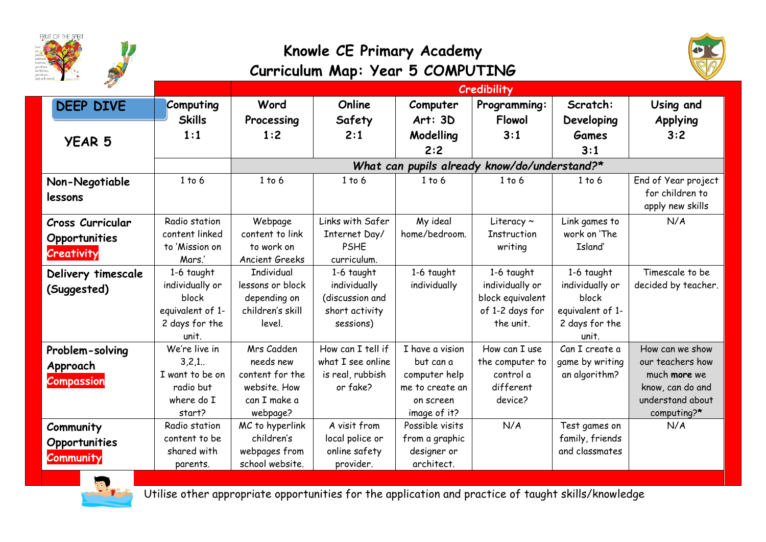



|                         |                  | <b>Credibility</b>                           |                   |                 |                    |                  |                     |
|-------------------------|------------------|----------------------------------------------|-------------------|-----------------|--------------------|------------------|---------------------|
| <b>DEEP DIVE</b>        | <b>Computing</b> | Word                                         | Online            | Computer        | Programming:       | Scratch:         | Using and           |
|                         | <b>Skills</b>    | Processing                                   | Safety            | Art: 3D         | <b>Flowol</b>      | Developing       | <b>Applying</b>     |
|                         | 1:1              | 1:2                                          | 2:1               | Modelling       | 3:1                | <b>Games</b>     | 3:2                 |
| <b>YEAR 5</b>           |                  |                                              |                   | 2:2             |                    | 3:1              |                     |
|                         |                  | What can pupils already know/do/understand?* |                   |                 |                    |                  |                     |
| Non-Negotiable          | 1 to 6           | 1 to 6                                       | 1 to 6            | 1 to 6          | 1 to 6             | 1 to 6           | End of Year project |
| lessons                 |                  |                                              |                   |                 |                    |                  | for children to     |
|                         |                  |                                              |                   |                 |                    |                  | apply new skills    |
| <b>Cross Curricular</b> | Radio station    | Webpage                                      | Links with Safer  | My ideal        | Literacy $\sim$    | Link games to    | N/A                 |
| Opportunities           | content linked   | content to link                              | Internet Day/     | home/bedroom.   | <b>Instruction</b> | work on 'The     |                     |
| Creativity              | to 'Mission on   | to work on                                   | <b>PSHE</b>       |                 | writing            | Island'          |                     |
|                         | Mars.'           | <b>Ancient Greeks</b>                        | curriculum.       |                 |                    |                  |                     |
| Delivery timescale      | 1-6 taught       | <b>Individual</b>                            | 1-6 taught        | 1-6 taught      | 1-6 taught         | 1-6 taught       | Timescale to be     |
| (Suggested)             | individually or  | lessons or block                             | individually      | individually    | individually or    | individually or  | decided by teacher. |
|                         | block            | depending on                                 | (discussion and   |                 | block equivalent   | block            |                     |
|                         | equivalent of 1- | children's skill                             | short activity    |                 | of 1-2 days for    | equivalent of 1- |                     |
|                         | 2 days for the   | level.                                       | sessions)         |                 | the unit.          | 2 days for the   |                     |
|                         | unit.            |                                              |                   |                 |                    | unit.            |                     |
| Problem-solving         | We're live in    | Mrs Cadden                                   | How can I tell if | I have a vision | How can I use      | Can I create a   | How can we show     |
| Approach                | $3,2,1$ .        | needs new                                    | what I see online | but can a       | the computer to    | game by writing  | our teachers how    |
| <b>Compassion</b>       | I want to be on  | content for the                              | is real, rubbish  | computer help   | control a          | an algorithm?    | much more we        |
|                         | radio but        | website. How                                 | or fake?          | me to create an | different          |                  | know, can do and    |
|                         | where do I       | can I make a                                 |                   | on screen       | device?            |                  | understand about    |
|                         | start?           | webpage?                                     |                   | image of it?    |                    |                  | computing?*         |
| Community               | Radio station    | MC to hyperlink                              | A visit from      | Possible visits | N/A                | Test games on    | N/A                 |
| Opportunities           | content to be    | children's                                   | local police or   | from a graphic  |                    | family, friends  |                     |
| <b>Community</b>        | shared with      | webpages from                                | online safety     | designer or     |                    | and classmates   |                     |
|                         | parents.         | school website.                              | provider.         | architect.      |                    |                  |                     |



Utilise other appropriate opportunities for the application and practice of taught skills/knowledge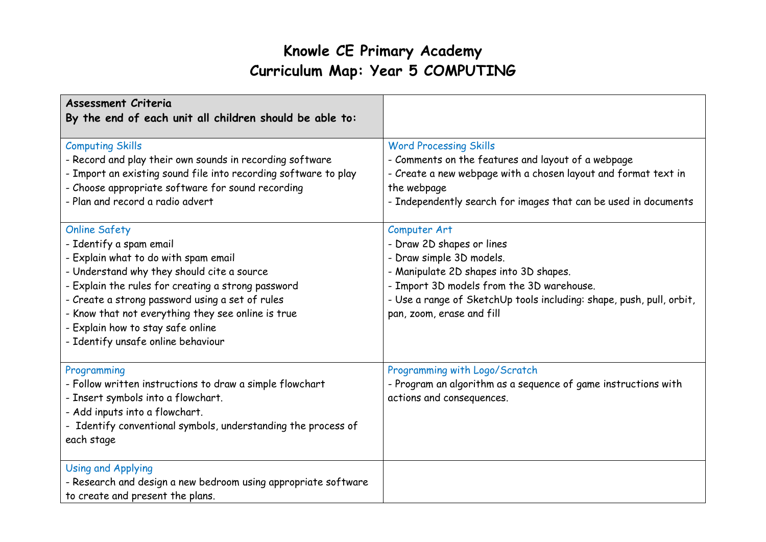| <b>Assessment Criteria</b><br>By the end of each unit all children should be able to:                                                                                                                                                                                                                                        |                                                                                                                                                                                                                                                                                      |
|------------------------------------------------------------------------------------------------------------------------------------------------------------------------------------------------------------------------------------------------------------------------------------------------------------------------------|--------------------------------------------------------------------------------------------------------------------------------------------------------------------------------------------------------------------------------------------------------------------------------------|
| <b>Computing Skills</b><br>- Record and play their own sounds in recording software<br>- Import an existing sound file into recording software to play<br>- Choose appropriate software for sound recording<br>- Plan and record a radio advert<br><b>Online Safety</b><br>- Identify a spam email                           | <b>Word Processing Skills</b><br>- Comments on the features and layout of a webpage<br>- Create a new webpage with a chosen layout and format text in<br>the webpage<br>- Independently search for images that can be used in documents<br>Computer Art<br>- Draw 2D shapes or lines |
| - Explain what to do with spam email<br>- Understand why they should cite a source<br>- Explain the rules for creating a strong password<br>- Create a strong password using a set of rules<br>- Know that not everything they see online is true<br>- Explain how to stay safe online<br>- Identify unsafe online behaviour | - Draw simple 3D models.<br>- Manipulate 2D shapes into 3D shapes.<br>- Import 3D models from the 3D warehouse.<br>- Use a range of SketchUp tools including: shape, push, pull, orbit,<br>pan, zoom, erase and fill                                                                 |
| Programming<br>- Follow written instructions to draw a simple flowchart<br>- Insert symbols into a flowchart.<br>- Add inputs into a flowchart.<br>- Identify conventional symbols, understanding the process of<br>each stage                                                                                               | Programming with Logo/Scratch<br>- Program an algorithm as a sequence of game instructions with<br>actions and consequences.                                                                                                                                                         |
| <b>Using and Applying</b><br>- Research and design a new bedroom using appropriate software<br>to create and present the plans.                                                                                                                                                                                              |                                                                                                                                                                                                                                                                                      |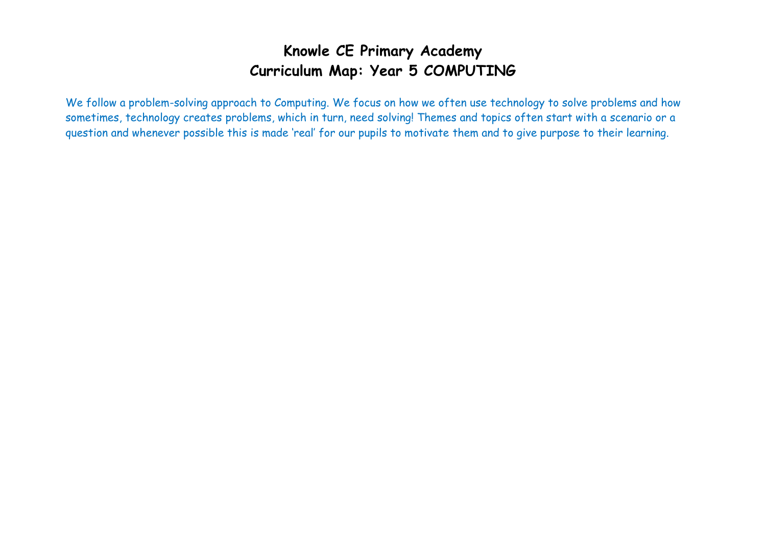We follow a problem-solving approach to Computing. We focus on how we often use technology to solve problems and how sometimes, technology creates problems, which in turn, need solving! Themes and topics often start with a scenario or a question and whenever possible this is made 'real' for our pupils to motivate them and to give purpose to their learning.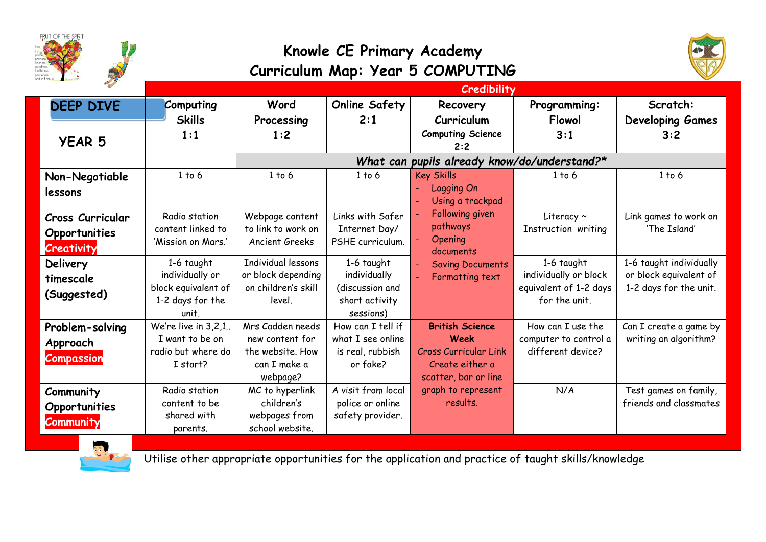

Utilise other appropriate opportunities for the application and practice of taught skills/knowledge